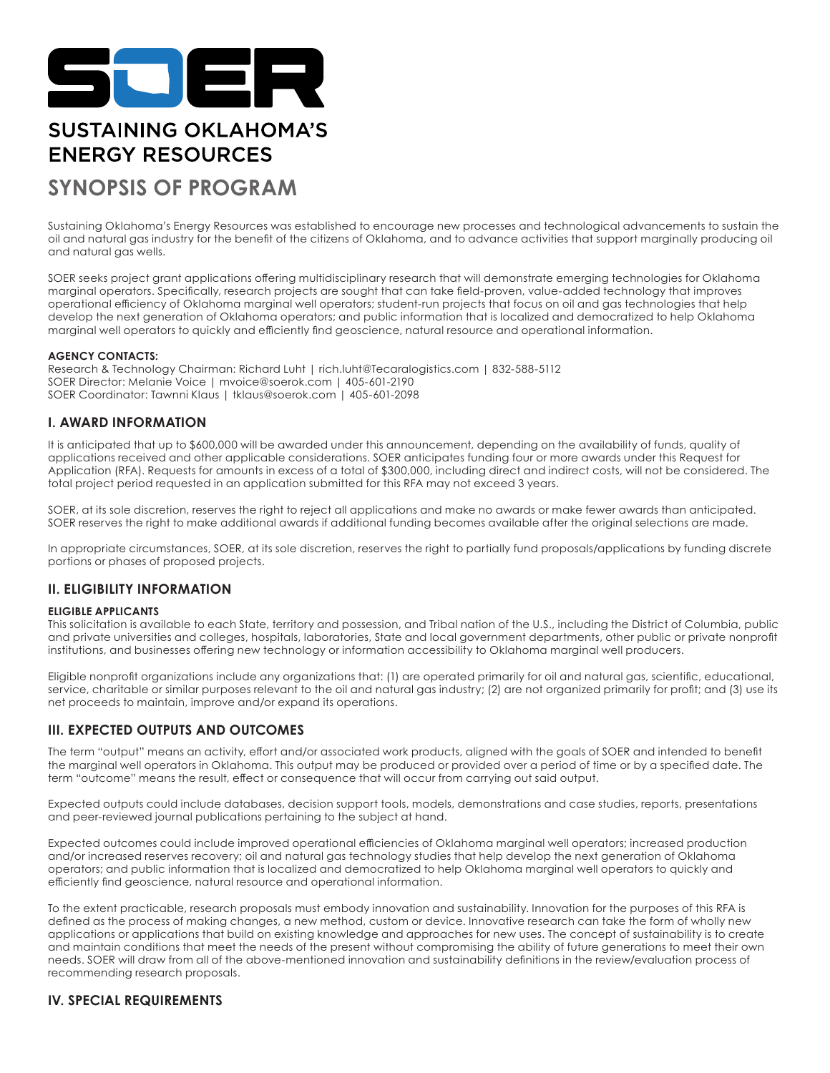

# **SUSTAINING OKLAHOMA'S ENERGY RESOURCES**

# **SYNOPSIS OF PROGRAM**

Sustaining Oklahoma's Energy Resources was established to encourage new processes and technological advancements to sustain the oil and natural gas industry for the benefit of the citizens of Oklahoma, and to advance activities that support marginally producing oil and natural gas wells.

SOER seeks project grant applications offering multidisciplinary research that will demonstrate emerging technologies for Oklahoma marginal operators. Specifically, research projects are sought that can take field-proven, value-added technology that improves operational efficiency of Oklahoma marginal well operators; student-run projects that focus on oil and gas technologies that help develop the next generation of Oklahoma operators; and public information that is localized and democratized to help Oklahoma marginal well operators to quickly and efficiently find geoscience, natural resource and operational information.

# **AGENCY CONTACTS:**

Research & Technology Chairman: Richard Luht | rich.luht@Tecaralogistics.com | 832-588-5112 SOER Director: Melanie Voice | mvoice@soerok.com | 405-601-2190 SOER Coordinator: Tawnni Klaus | tklaus@soerok.com | 405-601-2098

# **I. AWARD INFORMATION**

It is anticipated that up to \$600,000 will be awarded under this announcement, depending on the availability of funds, quality of applications received and other applicable considerations. SOER anticipates funding four or more awards under this Request for Application (RFA). Requests for amounts in excess of a total of \$300,000, including direct and indirect costs, will not be considered. The total project period requested in an application submitted for this RFA may not exceed 3 years.

SOER, at its sole discretion, reserves the right to reject all applications and make no awards or make fewer awards than anticipated. SOER reserves the right to make additional awards if additional funding becomes available after the original selections are made.

In appropriate circumstances, SOER, at its sole discretion, reserves the right to partially fund proposals/applications by funding discrete portions or phases of proposed projects.

# **II. ELIGIBILITY INFORMATION**

# **ELIGIBLE APPLICANTS**

This solicitation is available to each State, territory and possession, and Tribal nation of the U.S., including the District of Columbia, public and private universities and colleges, hospitals, laboratories, State and local government departments, other public or private nonprofit institutions, and businesses offering new technology or information accessibility to Oklahoma marginal well producers.

Eligible nonprofit organizations include any organizations that: (1) are operated primarily for oil and natural gas, scientific, educational, service, charitable or similar purposes relevant to the oil and natural gas industry; (2) are not organized primarily for profit; and (3) use its net proceeds to maintain, improve and/or expand its operations.

# **III. EXPECTED OUTPUTS AND OUTCOMES**

The term "output" means an activity, effort and/or associated work products, aligned with the goals of SOER and intended to benefit the marginal well operators in Oklahoma. This output may be produced or provided over a period of time or by a specified date. The term "outcome" means the result, effect or consequence that will occur from carrying out said output.

Expected outputs could include databases, decision support tools, models, demonstrations and case studies, reports, presentations and peer-reviewed journal publications pertaining to the subject at hand.

Expected outcomes could include improved operational efficiencies of Oklahoma marginal well operators; increased production and/or increased reserves recovery; oil and natural gas technology studies that help develop the next generation of Oklahoma operators; and public information that is localized and democratized to help Oklahoma marginal well operators to quickly and efficiently find geoscience, natural resource and operational information.

To the extent practicable, research proposals must embody innovation and sustainability. Innovation for the purposes of this RFA is defined as the process of making changes, a new method, custom or device. Innovative research can take the form of wholly new applications or applications that build on existing knowledge and approaches for new uses. The concept of sustainability is to create and maintain conditions that meet the needs of the present without compromising the ability of future generations to meet their own needs. SOER will draw from all of the above-mentioned innovation and sustainability definitions in the review/evaluation process of recommending research proposals.

# **IV. SPECIAL REQUIREMENTS**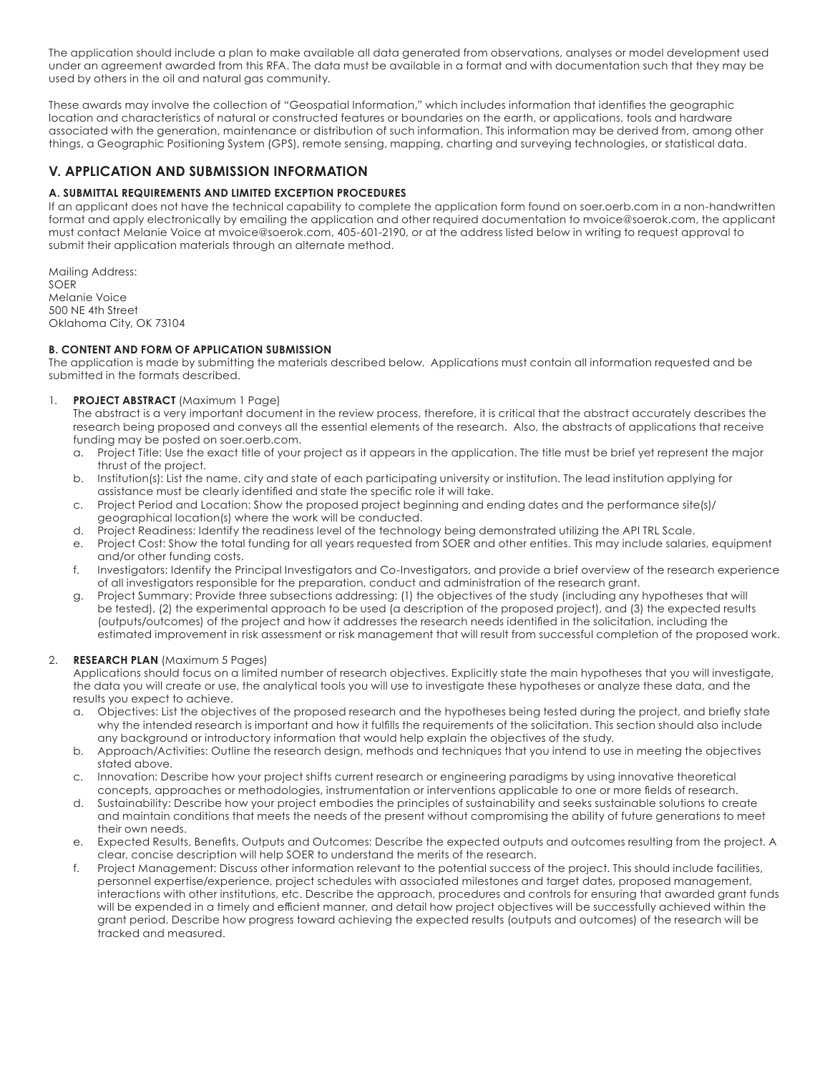The application should include a plan to make available all data generated from observations, analyses or model development used under an agreement awarded from this RFA. The data must be available in a format and with documentation such that they may be used by others in the oil and natural gas community.

These awards may involve the collection of "Geospatial Information," which includes information that identifies the geographic location and characteristics of natural or constructed features or boundaries on the earth, or applications, tools and hardware associated with the generation, maintenance or distribution of such information. This information may be derived from, among other things, a Geographic Positioning System (GPS), remote sensing, mapping, charting and surveying technologies, or statistical data.

# **V. APPLICATION AND SUBMISSION INFORMATION**

# **A. SUBMITTAL REQUIREMENTS AND LIMITED EXCEPTION PROCEDURES**

If an applicant does not have the technical capability to complete the application form found on soer.oerb.com in a non-handwritten format and apply electronically by emailing the application and other required documentation to mvoice@soerok.com, the applicant must contact Melanie Voice at mvoice@soerok.com, 405-601-2190, or at the address listed below in writing to request approval to submit their application materials through an alternate method.

Mailing Address: SOER Melanie Voice 500 NE 4th Street Oklahoma City, OK 73104

# **B. CONTENT AND FORM OF APPLICATION SUBMISSION**

The application is made by submitting the materials described below. Applications must contain all information requested and be submitted in the formats described.

# 1. **PROJECT ABSTRACT** (Maximum 1 Page)

The abstract is a very important document in the review process, therefore, it is critical that the abstract accurately describes the research being proposed and conveys all the essential elements of the research. Also, the abstracts of applications that receive funding may be posted on soer.oerb.com.

- a. Project Title: Use the exact title of your project as it appears in the application. The title must be brief yet represent the major thrust of the project.
- b. Institution(s): List the name, city and state of each participating university or institution. The lead institution applying for assistance must be clearly identified and state the specific role it will take.
- c. Project Period and Location: Show the proposed project beginning and ending dates and the performance site(s)/ geographical location(s) where the work will be conducted.
- d. Project Readiness: Identify the readiness level of the technology being demonstrated utilizing the API TRL Scale.
- e. Project Cost: Show the total funding for all years requested from SOER and other entities. This may include salaries, equipment and/or other funding costs.
- f. Investigators: Identify the Principal Investigators and Co-Investigators, and provide a brief overview of the research experience of all investigators responsible for the preparation, conduct and administration of the research grant.
- Project Summary: Provide three subsections addressing: (1) the objectives of the study (including any hypotheses that will be tested), (2) the experimental approach to be used (a description of the proposed project), and (3) the expected results (outputs/outcomes) of the project and how it addresses the research needs identified in the solicitation, including the estimated improvement in risk assessment or risk management that will result from successful completion of the proposed work.

# 2. **RESEARCH PLAN** (Maximum 5 Pages)

Applications should focus on a limited number of research objectives. Explicitly state the main hypotheses that you will investigate, the data you will create or use, the analytical tools you will use to investigate these hypotheses or analyze these data, and the results you expect to achieve.

- a. Objectives: List the objectives of the proposed research and the hypotheses being tested during the project, and briefly state why the intended research is important and how it fulfills the requirements of the solicitation. This section should also include any background or introductory information that would help explain the objectives of the study.
- b. Approach/Activities: Outline the research design, methods and techniques that you intend to use in meeting the objectives stated above.
- c. Innovation: Describe how your project shifts current research or engineering paradigms by using innovative theoretical concepts, approaches or methodologies, instrumentation or interventions applicable to one or more fields of research.
- d. Sustainability: Describe how your project embodies the principles of sustainability and seeks sustainable solutions to create and maintain conditions that meets the needs of the present without compromising the ability of future generations to meet their own needs.
- e. Expected Results, Benefits, Outputs and Outcomes: Describe the expected outputs and outcomes resulting from the project. A clear, concise description will help SOER to understand the merits of the research.
- f. Project Management: Discuss other information relevant to the potential success of the project. This should include facilities, personnel expertise/experience, project schedules with associated milestones and target dates, proposed management, interactions with other institutions, etc. Describe the approach, procedures and controls for ensuring that awarded grant funds will be expended in a timely and efficient manner, and detail how project objectives will be successfully achieved within the grant period. Describe how progress toward achieving the expected results (outputs and outcomes) of the research will be tracked and measured.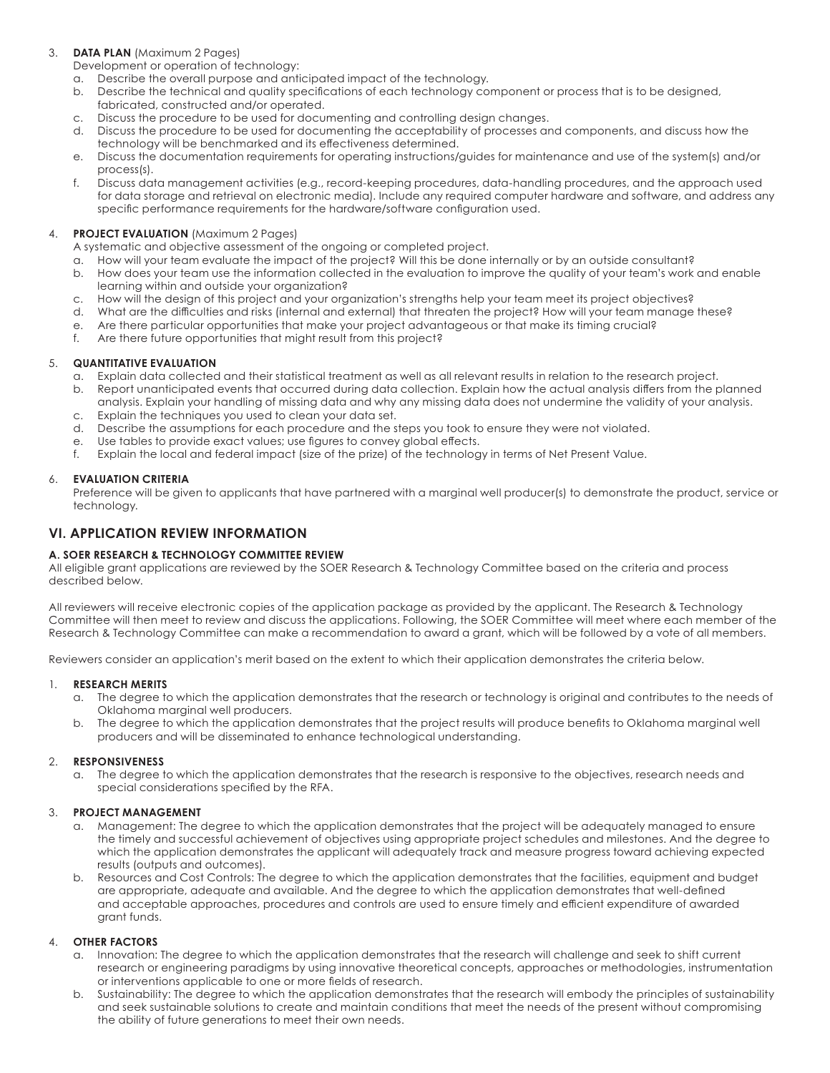# 3. **DATA PLAN** (Maximum 2 Pages)

Development or operation of technology:

- a. Describe the overall purpose and anticipated impact of the technology.
- b. Describe the technical and quality specifications of each technology component or process that is to be designed, fabricated, constructed and/or operated.
- c. Discuss the procedure to be used for documenting and controlling design changes.
- d. Discuss the procedure to be used for documenting the acceptability of processes and components, and discuss how the technology will be benchmarked and its effectiveness determined.
- e. Discuss the documentation requirements for operating instructions/guides for maintenance and use of the system(s) and/or process(s).
- f. Discuss data management activities (e.g., record-keeping procedures, data-handling procedures, and the approach used for data storage and retrieval on electronic media). Include any required computer hardware and software, and address any specific performance requirements for the hardware/software configuration used.

# 4. **PROJECT EVALUATION** (Maximum 2 Pages)

A systematic and objective assessment of the ongoing or completed project.

- a. How will your team evaluate the impact of the project? Will this be done internally or by an outside consultant?
- b. How does your team use the information collected in the evaluation to improve the quality of your team's work and enable learning within and outside your organization?
- c. How will the design of this project and your organization's strengths help your team meet its project objectives?
- d. What are the difficulties and risks (internal and external) that threaten the project? How will your team manage these?
- e. Are there particular opportunities that make your project advantageous or that make its timing crucial?
- f. Are there future opportunities that might result from this project?

# 5. **QUANTITATIVE EVALUATION**

- a. Explain data collected and their statistical treatment as well as all relevant results in relation to the research project.
- b. Report unanticipated events that occurred during data collection. Explain how the actual analysis differs from the planned analysis. Explain your handling of missing data and why any missing data does not undermine the validity of your analysis.
- c. Explain the techniques you used to clean your data set.
- d. Describe the assumptions for each procedure and the steps you took to ensure they were not violated.
- e. Use tables to provide exact values; use figures to convey global effects.
- f. Explain the local and federal impact (size of the prize) of the technology in terms of Net Present Value.

#### 6. **EVALUATION CRITERIA**

Preference will be given to applicants that have partnered with a marginal well producer(s) to demonstrate the product, service or technology.

# **VI. APPLICATION REVIEW INFORMATION**

# **A. SOER RESEARCH & TECHNOLOGY COMMITTEE REVIEW**

All eligible grant applications are reviewed by the SOER Research & Technology Committee based on the criteria and process described below.

All reviewers will receive electronic copies of the application package as provided by the applicant. The Research & Technology Committee will then meet to review and discuss the applications. Following, the SOER Committee will meet where each member of the Research & Technology Committee can make a recommendation to award a grant, which will be followed by a vote of all members.

Reviewers consider an application's merit based on the extent to which their application demonstrates the criteria below.

#### 1. **RESEARCH MERITS**

- a. The degree to which the application demonstrates that the research or technology is original and contributes to the needs of Oklahoma marginal well producers.
- b. The degree to which the application demonstrates that the project results will produce benefits to Oklahoma marginal well producers and will be disseminated to enhance technological understanding.

#### 2. **RESPONSIVENESS**

a. The degree to which the application demonstrates that the research is responsive to the objectives, research needs and special considerations specified by the RFA.

# 3. **PROJECT MANAGEMENT**

- a. Management: The degree to which the application demonstrates that the project will be adequately managed to ensure the timely and successful achievement of objectives using appropriate project schedules and milestones. And the degree to which the application demonstrates the applicant will adequately track and measure progress toward achieving expected results (outputs and outcomes).
- b. Resources and Cost Controls: The degree to which the application demonstrates that the facilities, equipment and budget are appropriate, adequate and available. And the degree to which the application demonstrates that well-defined and acceptable approaches, procedures and controls are used to ensure timely and efficient expenditure of awarded grant funds.

# 4. **OTHER FACTORS**

- a. Innovation: The degree to which the application demonstrates that the research will challenge and seek to shift current research or engineering paradigms by using innovative theoretical concepts, approaches or methodologies, instrumentation or interventions applicable to one or more fields of research.
- Sustainability: The degree to which the application demonstrates that the research will embody the principles of sustainability and seek sustainable solutions to create and maintain conditions that meet the needs of the present without compromising the ability of future generations to meet their own needs.